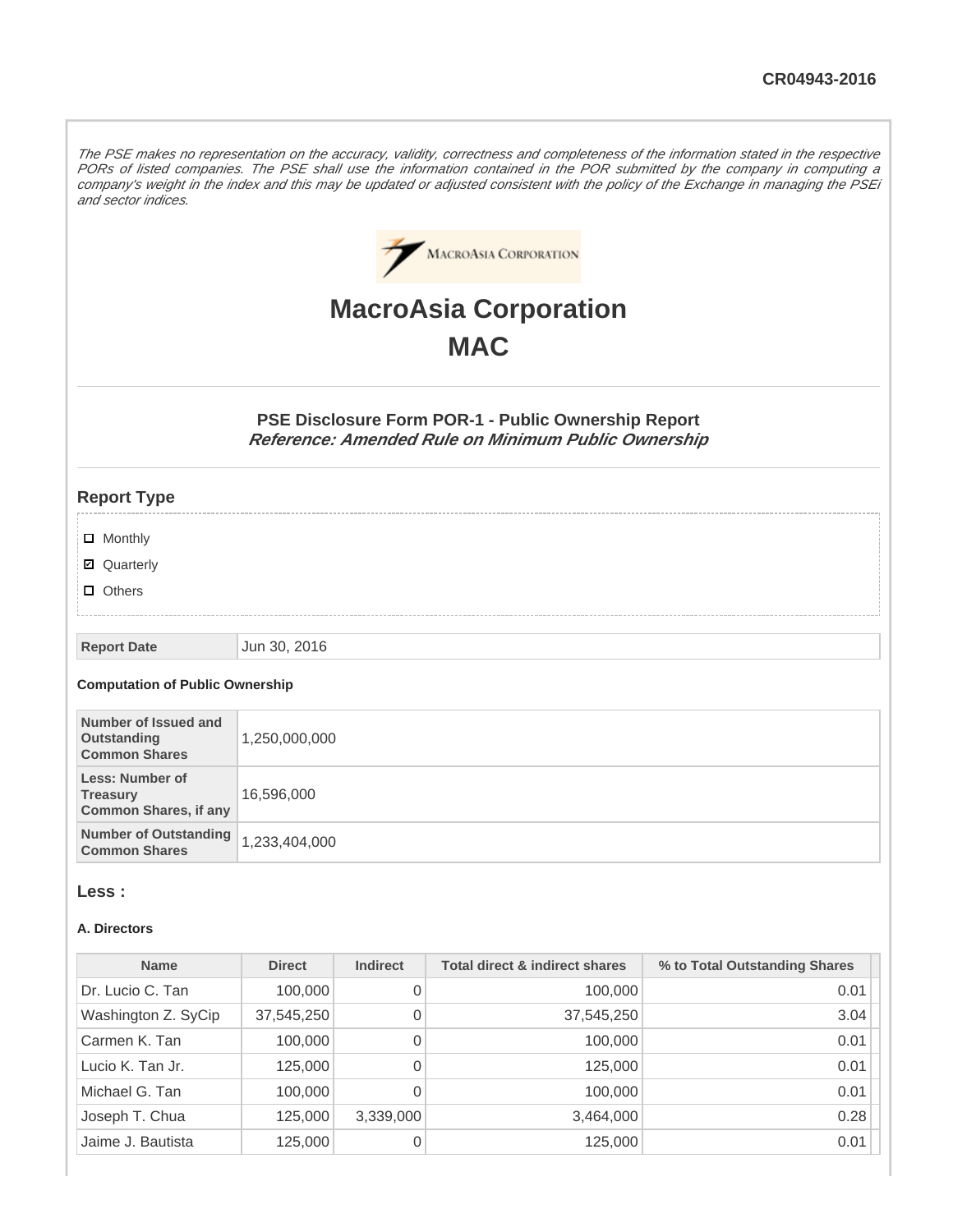The PSE makes no representation on the accuracy, validity, correctness and completeness of the information stated in the respective PORs of listed companies. The PSE shall use the information contained in the POR submitted by the company in computing a company's weight in the index and this may be updated or adjusted consistent with the policy of the Exchange in managing the PSEi and sector indices.



# **MacroAsia Corporation MAC**

**PSE Disclosure Form POR-1 - Public Ownership Report Reference: Amended Rule on Minimum Public Ownership**

#### **Report Type**

- **D** Monthly
- Quarterly
- **D** Others

#### **Report Date** Jun 30, 2016

#### **Computation of Public Ownership**

| Number of Issued and<br>Outstanding<br><b>Common Shares</b>        | 1,250,000,000 |
|--------------------------------------------------------------------|---------------|
| Less: Number of<br><b>Treasury</b><br><b>Common Shares, if any</b> | 16,596,000    |
| Number of Outstanding<br><b>Common Shares</b>                      | 1,233,404,000 |

#### **Less :**

#### **A. Directors**

| <b>Name</b>         | <b>Direct</b> | <b>Indirect</b> | <b>Total direct &amp; indirect shares</b> | % to Total Outstanding Shares |
|---------------------|---------------|-----------------|-------------------------------------------|-------------------------------|
| Dr. Lucio C. Tan    | 100,000       | 0               | 100,000                                   | 0.01                          |
| Washington Z. SyCip | 37,545,250    | 0               | 37,545,250                                | 3.04                          |
| Carmen K. Tan       | 100,000       | 0               | 100,000                                   | 0.01                          |
| Lucio K. Tan Jr.    | 125,000       | 0               | 125,000                                   | 0.01                          |
| Michael G. Tan      | 100,000       | 0               | 100,000                                   | 0.01                          |
| Joseph T. Chua      | 125,000       | 3,339,000       | 3,464,000                                 | 0.28                          |
| Jaime J. Bautista   | 125,000       | 0               | 125,000                                   | 0.01                          |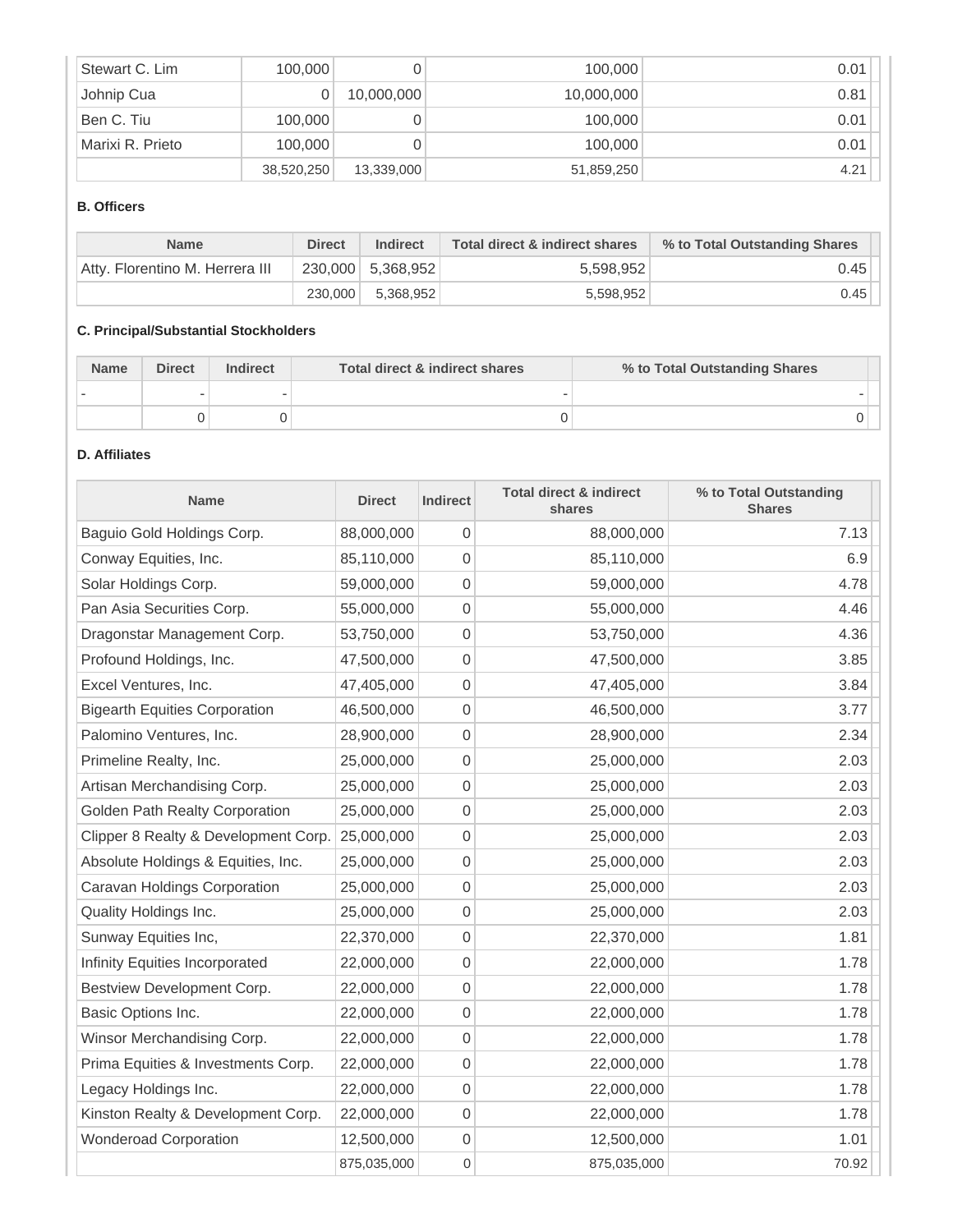| Stewart C. Lim   | 100,000    |            | 100,000    | 0.01 |
|------------------|------------|------------|------------|------|
| Johnip Cua       |            | 10,000,000 | 10,000,000 | 0.81 |
| Ben C. Tiu       | 100,000    |            | 100,000    | 0.01 |
| Marixi R. Prieto | 100,000    |            | 100,000    | 0.01 |
|                  | 38,520,250 | 13,339,000 | 51,859,250 | 4.21 |

#### **B. Officers**

| <b>Name</b>                     | <b>Direct</b> | <b>Indirect</b>   | Total direct & indirect shares | % to Total Outstanding Shares |
|---------------------------------|---------------|-------------------|--------------------------------|-------------------------------|
| Atty, Florentino M. Herrera III |               | 230,000 5,368,952 | 5,598,952                      | 0.45                          |
|                                 | 230.000       | 5.368.952         | 5,598,952                      | 0.45                          |

## **C. Principal/Substantial Stockholders**

| <b>Name</b> | <b>Direct</b> | Indirect | Total direct & indirect shares | % to Total Outstanding Shares |
|-------------|---------------|----------|--------------------------------|-------------------------------|
|             |               |          |                                |                               |
|             |               |          |                                |                               |

# **D. Affiliates**

| <b>Name</b>                          | <b>Direct</b> | <b>Indirect</b>  | <b>Total direct &amp; indirect</b><br>shares | % to Total Outstanding<br><b>Shares</b> |
|--------------------------------------|---------------|------------------|----------------------------------------------|-----------------------------------------|
| Baguio Gold Holdings Corp.           | 88,000,000    | 0                | 88,000,000                                   | 7.13                                    |
| Conway Equities, Inc.                | 85,110,000    | 0                | 85,110,000                                   | 6.9                                     |
| Solar Holdings Corp.                 | 59,000,000    | 0                | 59,000,000                                   | 4.78                                    |
| Pan Asia Securities Corp.            | 55,000,000    | 0                | 55,000,000                                   | 4.46                                    |
| Dragonstar Management Corp.          | 53,750,000    | 0                | 53,750,000                                   | 4.36                                    |
| Profound Holdings, Inc.              | 47,500,000    | 0                | 47,500,000                                   | 3.85                                    |
| Excel Ventures, Inc.                 | 47,405,000    | 0                | 47,405,000                                   | 3.84                                    |
| <b>Bigearth Equities Corporation</b> | 46,500,000    | 0                | 46,500,000                                   | 3.77                                    |
| Palomino Ventures, Inc.              | 28,900,000    | 0                | 28,900,000                                   | 2.34                                    |
| Primeline Realty, Inc.               | 25,000,000    | 0                | 25,000,000                                   | 2.03                                    |
| Artisan Merchandising Corp.          | 25,000,000    | 0                | 25,000,000                                   | 2.03                                    |
| Golden Path Realty Corporation       | 25,000,000    | 0                | 25,000,000                                   | 2.03                                    |
| Clipper 8 Realty & Development Corp. | 25,000,000    | 0                | 25,000,000                                   | 2.03                                    |
| Absolute Holdings & Equities, Inc.   | 25,000,000    | 0                | 25,000,000                                   | 2.03                                    |
| Caravan Holdings Corporation         | 25,000,000    | 0                | 25,000,000                                   | 2.03                                    |
| Quality Holdings Inc.                | 25,000,000    | 0                | 25,000,000                                   | 2.03                                    |
| Sunway Equities Inc,                 | 22,370,000    | 0                | 22,370,000                                   | 1.81                                    |
| Infinity Equities Incorporated       | 22,000,000    | 0                | 22,000,000                                   | 1.78                                    |
| Bestview Development Corp.           | 22,000,000    | 0                | 22,000,000                                   | 1.78                                    |
| Basic Options Inc.                   | 22,000,000    | 0                | 22,000,000                                   | 1.78                                    |
| Winsor Merchandising Corp.           | 22,000,000    | 0                | 22,000,000                                   | 1.78                                    |
| Prima Equities & Investments Corp.   | 22,000,000    | 0                | 22,000,000                                   | 1.78                                    |
| Legacy Holdings Inc.                 | 22,000,000    | 0                | 22,000,000                                   | 1.78                                    |
| Kinston Realty & Development Corp.   | 22,000,000    | 0                | 22,000,000                                   | 1.78                                    |
| <b>Wonderoad Corporation</b>         | 12,500,000    | 0                | 12,500,000                                   | 1.01                                    |
|                                      | 875,035,000   | $\boldsymbol{0}$ | 875,035,000                                  | 70.92                                   |